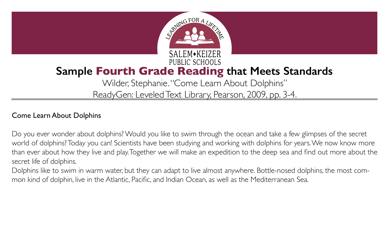

## **Sample Fourth Grade Reading that Meets Standards**

### Wilder, Stephanie. "Come Learn About Dolphins" ReadyGen: Leveled Text Library, Pearson, 2009, pp. 3-4.

### Come Learn About Dolphins

Do you ever wonder about dolphins? Would you like to swim through the ocean and take a few glimpses of the secret world of dolphins? Today you can! Scientists have been studying and working with dolphins for years. We now know more than ever about how they live and play. Together we will make an expedition to the deep sea and find out more about the secret life of dolphins.

Dolphins like to swim in warm water, but they can adapt to live almost anywhere. Bottle-nosed dolphins, the most common kind of dolphin, live in the Atlantic, Pacific, and Indian Ocean, as well as the Mediterranean Sea.